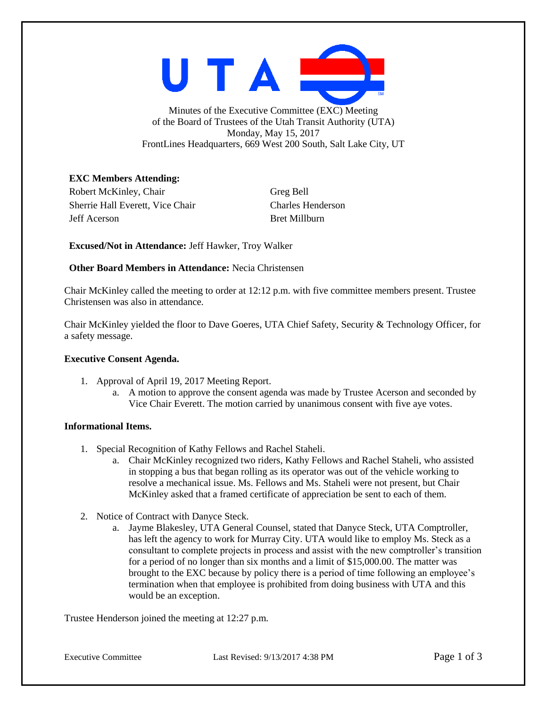

Minutes of the Executive Committee (EXC) Meeting of the Board of Trustees of the Utah Transit Authority (UTA) Monday, May 15, 2017 FrontLines Headquarters, 669 West 200 South, Salt Lake City, UT

## **EXC Members Attending:**

Robert McKinley, Chair Greg Bell Sherrie Hall Everett, Vice Chair Charles Henderson Jeff Acerson Bret Millburn

**Excused/Not in Attendance:** Jeff Hawker, Troy Walker

## **Other Board Members in Attendance: Necia Christensen**

Chair McKinley called the meeting to order at 12:12 p.m. with five committee members present. Trustee Christensen was also in attendance.

Chair McKinley yielded the floor to Dave Goeres, UTA Chief Safety, Security & Technology Officer, for a safety message.

### **Executive Consent Agenda.**

- 1. Approval of April 19, 2017 Meeting Report.
	- a. A motion to approve the consent agenda was made by Trustee Acerson and seconded by Vice Chair Everett. The motion carried by unanimous consent with five aye votes.

# **Informational Items.**

- 1. Special Recognition of Kathy Fellows and Rachel Staheli.
	- a. Chair McKinley recognized two riders, Kathy Fellows and Rachel Staheli, who assisted in stopping a bus that began rolling as its operator was out of the vehicle working to resolve a mechanical issue. Ms. Fellows and Ms. Staheli were not present, but Chair McKinley asked that a framed certificate of appreciation be sent to each of them.
- 2. Notice of Contract with Danyce Steck.
	- a. Jayme Blakesley, UTA General Counsel, stated that Danyce Steck, UTA Comptroller, has left the agency to work for Murray City. UTA would like to employ Ms. Steck as a consultant to complete projects in process and assist with the new comptroller's transition for a period of no longer than six months and a limit of \$15,000.00. The matter was brought to the EXC because by policy there is a period of time following an employee's termination when that employee is prohibited from doing business with UTA and this would be an exception.

Trustee Henderson joined the meeting at 12:27 p.m.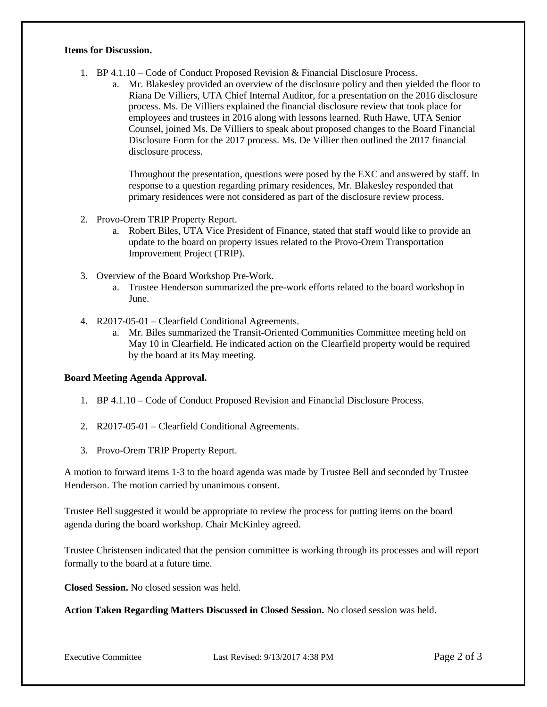#### **Items for Discussion.**

- 1. BP 4.1.10 Code of Conduct Proposed Revision & Financial Disclosure Process.
	- a. Mr. Blakesley provided an overview of the disclosure policy and then yielded the floor to Riana De Villiers, UTA Chief Internal Auditor, for a presentation on the 2016 disclosure process. Ms. De Villiers explained the financial disclosure review that took place for employees and trustees in 2016 along with lessons learned. Ruth Hawe, UTA Senior Counsel, joined Ms. De Villiers to speak about proposed changes to the Board Financial Disclosure Form for the 2017 process. Ms. De Villier then outlined the 2017 financial disclosure process.

Throughout the presentation, questions were posed by the EXC and answered by staff. In response to a question regarding primary residences, Mr. Blakesley responded that primary residences were not considered as part of the disclosure review process.

- 2. Provo-Orem TRIP Property Report.
	- a. Robert Biles, UTA Vice President of Finance, stated that staff would like to provide an update to the board on property issues related to the Provo-Orem Transportation Improvement Project (TRIP).
- 3. Overview of the Board Workshop Pre-Work.
	- a. Trustee Henderson summarized the pre-work efforts related to the board workshop in June.
- 4. R2017-05-01 Clearfield Conditional Agreements.
	- a. Mr. Biles summarized the Transit-Oriented Communities Committee meeting held on May 10 in Clearfield. He indicated action on the Clearfield property would be required by the board at its May meeting.

#### **Board Meeting Agenda Approval.**

- 1. BP 4.1.10 Code of Conduct Proposed Revision and Financial Disclosure Process.
- 2. R2017-05-01 Clearfield Conditional Agreements.
- 3. Provo-Orem TRIP Property Report.

A motion to forward items 1-3 to the board agenda was made by Trustee Bell and seconded by Trustee Henderson. The motion carried by unanimous consent.

Trustee Bell suggested it would be appropriate to review the process for putting items on the board agenda during the board workshop. Chair McKinley agreed.

Trustee Christensen indicated that the pension committee is working through its processes and will report formally to the board at a future time.

**Closed Session.** No closed session was held.

**Action Taken Regarding Matters Discussed in Closed Session.** No closed session was held.